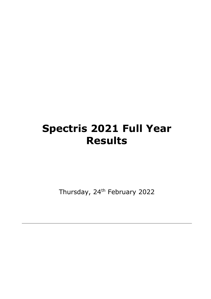# **Spectris 2021 Full Year Results**

Thursday, 24<sup>th</sup> February 2022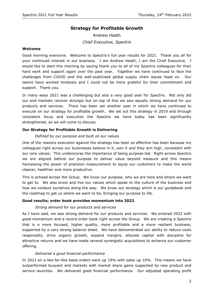# **Strategy for Profitable Growth**

Andrew Heath *Chief Executive, Spectris*

#### **Welcome**

Good morning everyone. Welcome to Spectris's full year results for 2021. Thank you all for your continued interest in our business. I am Andrew Heath, I am the Chief Executive. I would like to start this morning by saying thank you to all of my Spectris colleagues for their hard work and support again over the past year. Together we have continued to face the challenges from COVID and the well-publicised global supply chain issues head on. Our teams have worked tirelessly and I could not be more grateful for their commitment and support. Thank you.

In many ways 2021 was a challenging but also a very good year for Spectris. Not only did our end markets recover strongly but on top of this we saw equally strong demand for our products and services. There has been yet another year in which we have continued to execute on our strategy for profitable growth. We set out this strategy in 2019 and through consistent focus and execution the Spectris we have today has been significantly strengthened, as we will come to discuss.

#### **Our Strategy for Profitable Growth is Delivering**

#### *Defined by our purpose and built on our values*

One of the reasons execution against the strategy has been so effective has been because my colleagues right across our businesses believe in it, own it and they aim high, consistent with our core values. This underscores the importance of being purpose-led. Right across Spectris we are aligned behind our purpose to deliver value beyond measure and this means harnessing the power of precision measurement to equip our customers to make the world cleaner, healthier and more productive.

This is echoed across the Group. We know our purpose, why we are here and where we want to get to. We also know and live our values which speak to the culture of the business and how we conduct ourselves along the way. We know our strategy which is our guidebook and the roadmap to get us where we want to be, bringing our purpose to life.

#### **Good results; order book provides momentum into 2022**

#### *Strong demand for our products and services*

As I have said, we saw strong demand for our products and services. We entered 2022 with good momentum and a record order book right across the Group. We are creating a Spectris that is a more focused, higher quality, more profitable and a more resilient business, supported by a very strong balance sheet. We have demonstrated our ability to reduce costs responsibly, drive organic growth, expand margins, allocate capital with discipline for attractive returns and we have made several synergistic acquisitions to enhance our customer offering.

## *Delivered a good financial performance*

In 2021 on a like-for-like basis orders were up 19% with sales up 10%. This means we have outperformed buoyant end markets with market share gains supported by new product and service launches. We delivered good financial performance. Our adjusted operating profit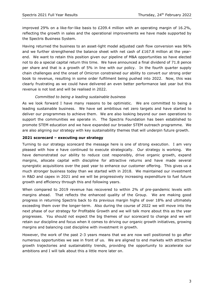improved 29% on a like-for-like basis to £209.4 million with an operating margin of 16.2%, reflecting the growth in sales and the operational improvements we have made supported by the Spectris Business System.

Having returned the business to an asset-light model adjusted cash flow conversion was 96% and we further strengthened the balance sheet with net cash of  $£167.8$  million at the yearend. We want to retain this position given our pipeline of M&A opportunities so have elected not to do a special capital return this time. We have announced a final dividend of 71.8 pence per share and that is a growth of 5% in line with our policy. In the fourth quarter supply chain challenges and the onset of Omicron constrained our ability to convert our strong order book to revenue, resulting in some order fulfilment being pushed into 2022. Now, this was clearly frustrating as we could have delivered an even better performance last year but this revenue is not lost and will be realised in 2022.

## *Committed to being a leading sustainable business*

As we look forward I have many reasons to be optimistic. We are committed to being a leading sustainable business. We have set ambitious net zero targets and have started to deliver our programmes to achieve them. We are also looking beyond our own operations to support the communities we operate in. The Spectris Foundation has been established to promote STEM education and we have expanded our broader STEM outreach programme. We are also aligning our strategy with key sustainability themes that will underpin future growth.

## **2021 scorecard – executing our strategy**

Turning to our strategy scorecard the message here is one of strong execution. I am very pleased with how e have continued to execute strategically. Our strategy is working. We have demonstrated our ability to reduce cost responsibly, drive organic growth, expand margins, allocate capital with discipline for attractive returns and have made several synergistic acquisitions over the past year to enhance our customer offering. This gives us a much stronger business today than we started with in 2018. We maintained our investment in R&D and capex in 2021 and we will be progressively increasing expenditure to fuel future growth and efficiency through this and following years.

When compared to 2019 revenue has recovered to within 2% of pre-pandemic levels with margins ahead. That reflects the enhanced quality of the Group. We are making good progress in returning Spectris back to its previous margin highs of over 18% and ultimately exceeding them over the longer-term. Also during the course of 2022 we will move into the next phase of our strategy for Profitable Growth and we will talk more about this as the year progresses. You should not expect the big themes of our scorecard to change and we will retain our discipline and focus when it comes to driving our organic growth initiatives, growing margins and balancing cost discipline with investment in growth.

However, the work of the past 2-3 years means that we are now well positioned to go after numerous opportunities we see in front of us. We are aligned to end markets with attractive growth trajectories and sustainability trends, providing the opportunity to accelerate our ambitions and I will talk about this a little more later on.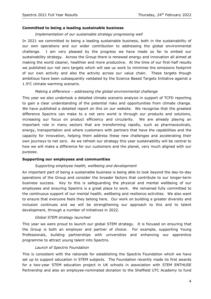#### **Committed to being a leading sustainable business**

#### *Implementation of our sustainable strategy progressing well*

In 2021 we committed to being a leading sustainable business, both in the sustainability of our own operations and our wider contribution to addressing the global environmental challenge. I am very pleased by the progress we have made so far to embed our sustainability strategy. Across the Group there is renewed energy and innovation all aimed at making the world cleaner, healthier and more productive. At the time of our first-half results we published our net zero targets which will see us work to minimise the emissions footprint of our own activity and also the activity across our value chain. These targets though ambitious have been subsequently validated by the Science Based Targets Initiative against a 1.5°C climate warming scenario.

#### *Making a difference – addressing the global environmental challenge*

This year we also undertook a detailed climate scenario analysis in support of TCFD reporting to gain a clear understanding of the potential risks and opportunities from climate change. We have published a detailed report on this on our website. We recognise that the greatest difference Spectris can make to a net zero world is through our products and solutions, increasing our focus on product efficiency and circularity. We are already playing an important role in many sectors that are transforming rapidly, such as pharmaceuticals, energy, transportation and where customers with partners that have the capabilities and the capacity for innovation, helping them address these new challenges and accelerating their own journeys to net zero. As we refresh our strategy this year sustainability will be central to how we will make a difference for our customers and the planet, very much aligned with our purpose.

#### **Supporting our employees and communities**

#### *Supporting employee health, wellbeing and development*

An important part of being a sustainable business is being able to look beyond the day-to-day operations of the Group and consider the broader factors that contribute to our longer-term business success. Key to this is safeguarding the physical and mental wellbeing of our employees and ensuring Spectris is a great place to work. We remained fully committed to the continuous support of our mental health, wellbeing and resilience activities. We also want to ensure that everyone feels they belong here. Our work on building a greater diversity and inclusion continues and we will be strengthening our approach to this and to talent development, through a number of initiatives in 2022.

#### *Global STEM strategy launched*

This year we were proud to launch our global STEM strategy. It is focused on ensuring that the Group is both an employer and partner of choice. For example, supporting Young Professionals, building partnerships with universities and enhancing our apprentice programme to attract young talent into Spectris.

#### *Launch of Spectris Foundation*

This is consistent with the rationale for establishing the Spectris Foundation which we have set up to support education in STEM subjects. The Foundation recently made its first awards for a two-year STEM education project in UK schools in association with STEM ENTHUSE Partnership and also an employee-nominated donation to the Sheffield UTC Academy to fund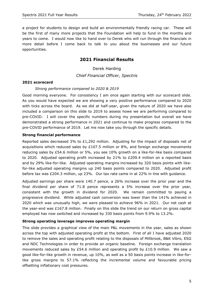a project for students to design and build an environmentally friendly racing car. These will be the first of many more projects that the Foundation will help to fund in the months and years to come. I would now like to hand over to Derek who will run through the financials in more detail before I come back to talk to you about the businesses and our future opportunities.

# **2021 Financial Results**

Derek Harding

*Chief Financial Officer, Spectris*

#### **2021 scorecard**

#### *Strong performance compared to 2020 & 2019*

Good morning everyone. For consistency I am once again starting with our scorecard slide. As you would have expected we are showing a very positive performance compared to 2020 with ticks across the board. As we did at half-year, given the nature of 2020 we have also included a comparison on this slide to 2019 to assess howe we are performing compared to pre-COVID. I will cover the specific numbers during my presentation but overall we have demonstrated a strong performance in 2021 and continue to make progress compared to the pre-COVID performance of 2019. Let me now take you through the specific details.

#### **Strong financial performance**

Reported sales decreased 3% to  $£1,292$  million. Adjusting for the impact of disposals net of acquisitions which reduced sales by £107.5 million or 8%, and foreign exchange movements reducing sales by £54.6 million or 5%, you see 10% growth on a like-for-like basis compared to 2020. Adjusted operating profit increased by 21% to £209.4 million on a reported basis and by 29% like-for-like. Adjusted operating margins increased by 320 basis points with likefor-like adjusted operating margins up 240 basis points compared to 2020. Adjusted profit before tax was £204.3 million, up 23%. Our tax rate came in at 22% in line with guidance.

Adjusted earnings per share were 140.7 pence, a 26% increase over the prior year and the final dividend per share of 71.8 pence represents a 5% increase over the prior year, consistent with the growth in dividend for 2020. We remain committed to paying a progressive dividend. While adjusted cash conversion was lower than the 141% achieved in 2020 which was unusually high, we were pleased to achieve 96% in 2021. Our net cash at the year-end was £167.8 million. Finally on this slide the trend on our return on gross capital employed has now switched and increased by 330 basis points from 9.9% to 13.2%.

#### **Strong operating leverage improves operating margin**

This slide provides a graphical view of the main P&L movements in the year, sales as shown across the top with adjusted operating profit at the bottom. First of all I have adjusted 2020 to remove the sales and operating profit relating to the disposals of Millbrook, B&K Vibro, ESG and NDC Technologies in order to provide an organic baseline. Foreign exchange translation movements reduced sales by £54.6 million and operating profit by £10.9 million. We saw a good like-for-like growth in revenue, up 10%, as well as a 50 basis points increase in like-forlike gross margins to 57.1% reflecting the incremental volume and favourable pricing offsetting inflationary cost pressures.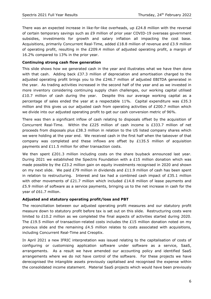There was an expected increase in like-for-like overheads, up £24.8 million with the reversal of certain temporary savings such as £9 million of prior year COVID-19 overseas government subsidies, investments for growth and salary inflation all impacting the cost base. Acquisitions, primarily Concurrent Real-Time, added £18.8 million of revenue and £3.9 million of operating profit, resulting in the £209.4 million of adjusted operating profit, a margin of 16.2% compared to 13% in the prior year.

#### **Continuing strong cash flow generation**

This slide shows how we generated cash in the year and illustrates what we have then done with that cash. Adding back £37.3 million of depreciation and amortisation charged to the adjusted operating profit brings you to the £246.7 million of adjusted EBITDA generated in the year. As trading activities increased in the second half of the year and as we invested in more inventory considering continuing supply chain challenges, our working capital utilised £10.7 million of cash during the year. Despite this our average working capital as a percentage of sales ended the year at a respectable 11%. Capital expenditure was £35.3 million and this gives us our adjusted cash from operating activities of £200.7 million which we divide into our adjusted operating profit to get our cash conversion metric of 96%.

There was then a significant inflow of cash relating to disposals offset by the acquisition of Concurrent Real-Time. Within the £225 million of cash income is £333.7 million of net proceeds from disposals plus £38.3 million in relation to the US listed company shares which we were holding at the year end. We received cash in the first half when the takeover of that company was completed and these inflows are offset by £135.5 million of acquisition payments and £11.5 million for other transaction costs.

We then spent £201.3 million including costs on the share buyback announced last year. During 2021 we established the Spectris Foundation with a  $£15$  million donation which was made possible by the £23.2 million gain on equity investments recognised in 2020 and shown on my next slide. We paid  $E$ 79 million in dividends and  $E$ 11.9 million of cash has been spent in relation to restructuring. Interest and tax had a combined cash impact of  $£35.1$  million with other movements of £21.7 million which included £14.8 million of lease payments and £5.9 million of software as a service payments, bringing us to the net increase in cash for the year of £61.7 million.

#### **Adjusted and statutory operating profit/loss and PBT**

The reconciliation between our adjusted operating profit measures and our statutory profit measure down to statutory profit before tax is set out on this slide. Restructuring costs were limited to £10.2 million as we completed the final aspects of activities started during 2020. The £19.5 million of transaction-related costs includes the £15 million donation noted on my previous slide and the remaining  $£4.5$  million relates to costs associated with acquisitions, including Concurrent Real-Time and Creoptix.

In April 2021 a new IFRIC interpretation was issued relating to the capitalisation of costs of configuring or customising application software under software as a service, SaaS, arrangements. As a result we have amended our accounting policy and identified SaaS arrangements where we do not have control of the software. For these projects we have derecognised the intangible assets previously capitalised and recognised the expense within the consolidated income statement. Material SaaS projects which would have been previously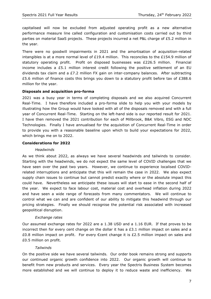capitalised will now be excluded from adjusted operating profit as a new alternative performance measure line called configuration and customisation costs carried out by third parties on material SaaS projects. These projects incurred a net P&L charge of £5.2 million in the year.

There were no goodwill impairments in 2021 and the amortisation of acquisition-related intangibles is at a more normal level of £19.4 million. This reconciles to the £154.9 million of statutory operating profit. Profit on disposed businesses was £226.5 million. Financial income includes a £5.1 million interest credit following the positive settlement of an EU dividends tax claim and a  $E7.2$  million FX gain on inter-company balances. After subtracting £5.6 million of finance costs this brings you down to a statutory profit before tax of £388.6 million for the year.

## **Disposals and acquisition pro-forma**

2021 was a busy year in terms of completing disposals and we also acquired Concurrent Real-Time. I have therefore included a pro-forma slide to help you with your models by illustrating how the Group would have looked with all of the disposals removed and with a full year of Concurrent Real-Time. Starting on the left-hand side is our reported result for 2021. I have then removed the 2021 contribution for each of Millbrook, B&K Vibro, ESG and NDC Technologies. Finally I have annualised for the acquisition of Concurrent Real-Time in order to provide you with a reasonable baseline upon which to build your expectations for 2022, which brings me on to 2022.

## **Considerations for 2022**

## *Headwinds*

As we think about 2022, as always we have several headwinds and tailwinds to consider. Starting with the headwinds, we do not expect the same level of COVID challenges that we have seen over the past two years. However, we continue to experience localised COVIDrelated interruptions and anticipate that this will remain the case in 2022. We also expect supply chain issues to continue but cannot predict exactly where or the absolute impact this could have. Nevertheless we anticipate these issues will start to ease in the second half of the year. We expect to face labour cost, material cost and overhead inflation during 2022 and have seen a wide range of forecasts from many commentators. We will continue to control what we can and are confident of our ability to mitigate this headwind through our pricing strategies. Finally we should recognise the potential risk associated with increased geopolitical disruption.

## *Exchange rates*

Our assumed exchange rates for 2022 are a 1.38 USD and a 1.16 EUR. If that proves to be incorrect then for every cent change on the dollar it has a  $£3.1$  million impact on sales and a £0.8 million impact on profit. For every €cent change it is £2.5 million impact on sales and £0.5 million on profit.

## *Tailwinds*

On the positive side we have several tailwinds. Our order book remains strong and supports our continued organic growth confidence into 2022. Our organic growth will continue to benefit from new products and services. Every year the Spectris Business System becomes more established and we will continue to deploy it to reduce waste and inefficiency. We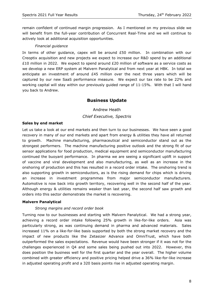remain confident of continued margin progression. As I mentioned on my previous slide we will benefit from the full-year contribution of Concurrent Real-Time and we will continue to actively look at additional acquisition opportunities.

## *Financial guidance*

In terms of other guidance, capex will be around £50 million. In combination with our Creoptix acquisition and new projects we expect to increase our R&D spend by an additional £10 million in 2022. We expect to spend around £20 million of software as a service costs as we develop a new ERP system at Malvern Panalytical and from next year at HBK. In total we anticipate an investment of around £45 million over the next three years which will be captured by our new SaaS performance measure. We expect our tax rate to be 22% and working capital will stay within our previously guided range of 11-15%. With that I will hand you back to Andrew.

## **Business Update**

Andrew Heath *Chief Executive, Spectris*

#### **Sales by end market**

Let us take a look at our end markets and then turn to our businesses. We have seen a good recovery in many of our end markets and apart from energy & utilities they have all returned to growth. Machine manufacturing, pharmaceutical and semiconductor stand out as the strongest performers. The machine manufacturing positive outlook and the strong fit of our sensor applications for food production, medical equipment and semiconductor manufacturing continued the buoyant performance. In pharma we are seeing a significant uplift in support of vaccine and viral development and also manufacturing, as well as an increase in the onshoring of production and this has resulted in a record order intake. The onshoring trend is also supporting growth in semiconductors, as is the rising demand for chips which is driving an increase in investment programmes from major semiconductor manufacturers. Automotive is now back into growth territory, recovering well in the second half of the year. Although energy & utilities remains weaker than last year, the second half saw growth and orders into this sector demonstrate the market is recovering.

#### **Malvern Panalytical**

#### *Strong margins and record order book*

Turning now to our businesses and starting with Malvern Panalytical. We had a strong year, achieving a record order intake following 25% growth in like-for-like orders. Asia was particularly strong, as was continuing demand in pharma and advanced materials. Sales increased 11% on a like-for-like basis supported by both the strong market recovery and the impact of new products like the Zetasizer Advance and OmniTrust, which have both outperformed the sales expectations. Revenue would have been stronger if it was not for the challenges experienced in Q4 and some sales being pushed out into 2022. However, this does position the business well for the first quarter and the year overall. The higher volume combined with greater efficiency and positive pricing helped drive a 36% like-for-like increase in adjusted operating profit and a 320 basis points rise in adjusted operating margin.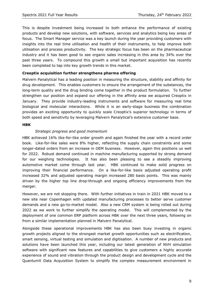This is despite investment being increased to both enhance the performance of existing products and develop new solutions, with software, services and analytics being key areas of focus. The Smart Manager service was a key launch during the year providing customers with insights into the real time utilisation and health of their instruments, to help improve both utilisation and process productivity. The key strategic focus has been on the pharmaceutical industry and it has been good to see organic sales increasing in this area by 34% over the past three years. To compound this growth a small but important acquisition has recently been completed to tap into key growth trends in this market.

#### **Creoptix acquisition further strengthens pharma offering**

Malvern Panalytical has a leading position in measuring the structure, stability and affinity for drug development. This enables customers to ensure the arrangement of the substances, the long-term quality and the drug binding come together in the product formulation. To further strengthen our position and expand our offering in the affinity area we acquired Creoptix in January. They provide industry-leading instruments and software for measuring real time biological and molecular interactions. While it is an early-stage business the combination provides an exciting opportunity to quickly scale Creoptix's superior technology in terms of both speed and sensitivity by leveraging Malvern Panalytical's extensive customer base.

#### **HBK**

#### *Strategic progress and good momentum*

HBK achieved 16% like-for-like order growth and again finished the year with a record order book. Like-for-like sales were 8% higher, reflecting the supply chain constraints and some longer-dated orders from an increase in OEM business. However, again this positions us well for 2022. Robust demand continued in machine manufacturing supported by strong demand for our weighing technologies. It has also been pleasing to see a steadily improving automotive market come through last year. HBK continued to make solid progress on improving their financial performance. On a like-for-like basis adjusted operating profit increased 32% and adjusted operating margin increased 280 basis points. This was mainly driven by the higher top line drop-through and ongoing efficiency improvements from the merger.

However, we are not stopping there. With further initiatives in train in 2021 HBK moved to a new site near Copenhagen with updated manufacturing processes to better serve customer demands and a new go-to-market model. Also a new CRM system is being rolled out during 2022 as we work to further simplify the operating model. This will complemented by the deployment of one common ERP platform across HBK over the next three years, following on from a similar implementation planned in Malvern Panalytical.

Alongside these operational improvements HBK has also been busy investing in organic growth projects aligned to the strongest market growth opportunities such as electrification, smart sensing, virtual testing and simulation and digitisation. A number of new products and solutions have been launched this year, including our latest generation of NVH simulation software with significant new features and capabilities to give customers a highly accurate experience of sound and vibration through the product design and development cycle and the QuantumX Data Acquisition System to simplify the complex measurement environment in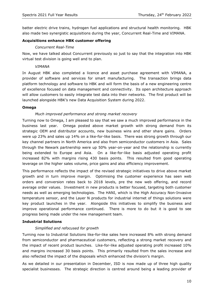batter electric drive trains, hydrogen fuel applications and structural health monitoring. HBK also made two synergistic acquisitions during the year, Concurrent Real-Time and VIMANA.

## **Acquisitions enhance HBK customer offering**

#### *Concurrent Real-Time*

Now, we have talked about Concurrent previously so just to say that the integration into HBK virtual test division is going well and to plan.

#### *VIMANA*

In August HBK also completed a licence and asset purchase agreement with VIMANA, a provider of software and services for smart manufacturing. The transaction brings data platform technology and software to HBK and will form the basis of a new engineering centre of excellence focused on data management and connectivity. Its open architecture approach will allow customers to easily integrate test data into their networks. The first product will be launched alongside HBK's new Data Acquisition System during 2022.

#### **Omega**

#### *Much improved performance and strong market recovery*

Turning now to Omega, I am pleased to say that we saw a much improved performance in the business last year. Omega posted above market growth with strong demand from its strategic OEM and distributor accounts, new business wins and other share gains. Orders were up 23% and sales up 14% on a like-for-like basis. There was strong growth through our key channel partners in North America and also from semiconductor customers in Asia. Sales through the Newark partnership were up 50% year-on-year and the relationship is currently being extended to Europe and Asia. On a like-for-like basis adjusted operating profit increased 82% with margins rising 430 basis points. This resulted from good operating leverage on the higher sales volume, price gains and also efficiency improvement.

This performance reflects the impact of the revised strategic initiatives to drive above market growth and in turn improve margin. Optimising the customer experience has seen web orders and conversion rates back to 2018 levels, pre the new web offering, and record average order values. Investment in new products is better focused, targeting both customer needs as well as emerging technologies. The HANI, which is the High Accuracy Non-Invasive temperature sensor, and the Layer N products for industrial internet of things solutions were key product launches in the year. Alongside this initiatives to simplify the business and improve operational performance continued. There is more to do but it is good to see progress being made under the new management team.

## **Industrial Solutions**

## *Simplified and refocused for growth*

Turning now to Industrial Solutions like-for-like sales here increased 8% with strong demand from semiconductor and pharmaceutical customers, reflecting a strong market recovery and the impact of recent product launches. Like-for-like adjusted operating profit increased 10% and margins increased 30 basis points. This primarily resulted from the sales increase and also reflected the impact of the disposals which enhanced the division's margin.

As we detailed in our presentation in December, ISD is now made up of three high quality specialist businesses. The strategic direction is centred around being a leading provider of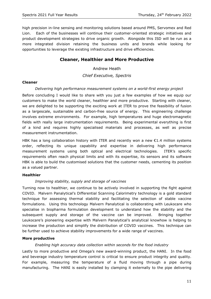high precision in-line sensing and monitoring solutions based around PMS, Servomex and Red Lion. Each of the businesses will continue their customer-oriented strategic initiatives and product development strategies to drive organic growth. Alongside this ISD will be run as a more integrated division retaining the business units and brands while looking for opportunities to leverage the existing infrastructure and drive efficiencies.

# **Cleaner, Healthier and More Productive**

Andrew Heath

#### *Chief Executive, Spectris*

#### **Cleaner**

#### *Delivering high performance measurement systems on a world-first energy project*

Before concluding I would like to share with you just a few examples of how we equip our customers to make the world cleaner, healthier and more productive. Starting with cleaner, we are delighted to be supporting the exciting work at ITER to prove the feasibility of fusion as a largescale, sustainable and carbon-free source of energy. This engineering challenge involves extreme environments. For example, high temperatures and huge electromagnetic fields with really large instrumentation requirements. Being experimental everything is first of a kind and requires highly specialised materials and processes, as well as precise measurement instrumentation.

HBK has a long collaboration history with ITER and recently won a new  $\epsilon$ 1.4 million systems order, reflecting its unique capability and expertise in delivering high performance measurement systems using both optical and electrical technologies. ITER's specific requirements often reach physical limits and with its expertise, its sensors and its software HBK is able to build the customised solutions that the customer needs, cementing its position as a valued partner.

#### **Healthier**

#### *Improving stability, supply and storage of vaccines*

Turning now to healthier, we continue to be actively involved in supporting the fight against COVID. Malvern Panalytical's Differential Scanning Calorimetry technology is a gold standard technique for assessing thermal stability and facilitating the selection of stable vaccine formulations. Using this technology Malvern Panalytical is collaborating with Leukocare who specialise in biopharma formulation development to understand how the stability and the subsequent supply and storage of the vaccine can be improved. Bringing together Leukocare's pioneering expertise with Malvern Panalytical's analytical knowhow is helping to increase the production and simplify the distribution of COVID vaccines. This technique can be further used to achieve stability improvements for a wide range of vaccines.

#### **More productive**

#### *Enabling high accuracy data collection within seconds for the food industry*

Lastly to more productive and Omega's new award-winning product, the HANI. In the food and beverage industry temperature control is critical to ensure product integrity and quality. For example, measuring the temperature of a fluid moving through a pipe during manufacturing. The HANI is easily installed by clamping it externally to the pipe delivering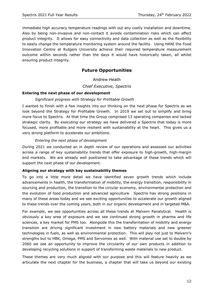immediate high accuracy temperature readings with out any costly installation and downtime. Also by being non-invasive and non-contact it avoids contamination risks which can affect product integrity. It allows for easy connectivity and data collection as well as the flexibility to easily change the temperature monitoring system around the facility. Using HANI the Food Innovation Centre at Rutgers University achieve their required temperature measurement outcome within seconds rather than the days it would have historically taken, all whilst ensuring product integrity.

# **Future Opportunities**

Andrew Heath

*Chief Executive, Spectris*

#### **Entering the next phase of our development**

#### *Significant progress with Strategy for Profitable Growth*

I wanted to finish with a few insights into our thinking on the next phase for Spectris as we look beyond the Strategy for Profitable Growth. In 2019 we set out to simplify and bring more focus to Spectris. At that time the Group comprised 13 operating companies and lacked strategic clarity. By executing our strategy we have delivered a Spectris that today is more focused, more profitable and more resilient with sustainability at the heart. This gives us a very strong platform to accelerate our ambitions.

#### *Entering the next phase of development*

During 2021 we conducted an in depth review of our operations and assessed our activities across a range of key sustainability trends that offer exposure to high-growth, high-margin end markets. We are already well positioned to take advantage of these trends which will support the next phase of our development.

#### **Aligning our strategy with key sustainability themes**

To go into a little more detail we have identified seven growth trends which include advancements in health, the transformation of mobility, the energy transition, responsibility in sourcing and production, the transition to the circular economy, environmental protection and the evolution of food production and advanced agriculture. Spectris has strong positions in many of these areas today and we see exciting opportunities to accelerate our growth aligned to these trends over the coming years, both in our organic development and in targeted M&A.

For example, we see opportunities across all these trends at Malvern Panalytical. Health is obviously a key area of exposure and we see continued strong growth in pharma and life sciences, a key market for PMS too. Alongside this the transformation of mobility and energy transition are driving significant investment in new battery materials and new greener technologies in fuels, as well as environmental protection. This will play not just to Malvern's strengths but to HBK, Omega, PMS and Servomex as well. With material use set to double by 2060 we see an opportunity to improve the circularity of our own products in addition to developing recycling solutions in support of transforming waste materials to new product.

These themes are very much aligned with our purpose and this will feature heavily as we articulate the next chapter for the business, a chapter that will take us beyond our existing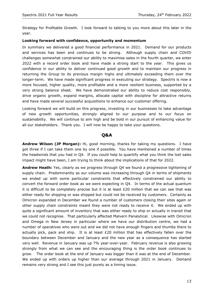Strategy for Profitable Growth. I look forward to talking to you more about this later in the year.

#### **Looking forward with confidence, opportunity and momentum**

In summary we delivered a good financial performance in 2021. Demand for our products and services has been and continues to be strong. Although supply chain and COVID challenges somewhat constrained our ability to maximise sales in the fourth quarter, we enter 2022 with a record order book and have made a strong start to the year. This gives us confidence in our ability to deliver continued good growth and to maintain our progress in returning the Group to its previous margin highs and ultimately exceeding them over the longer-term. We have made significant progress in executing our strategy. Spectris is now a more focused, higher quality, more profitable and a more resilient business, supported by a very strong balance sheet. We have demonstrated our ability to reduce cost responsibly, drive organic growth, expand margins, allocate capital with discipline for attractive returns and have made several successful acquisitions to enhance our customer offering.

Looking forward we will build on this progress, investing in our businesses to take advantage of new growth opportunities, strongly aligned to our purpose and to our focus on sustainability. We will continue to aim high and be bold in our pursuit of enhancing value for all our stakeholders. Thank you. I will now be happy to take your questions.

## **Q&A**

**Andrew Wilson (JP Morgan):** Hi, good morning, thanks for taking my questions. I have got three if I can take them one by one if possible. You have mentioned a number of times the headwinds that you had in Q4. If you could help to quantify what you think the lost sales impact might have been, I am trying to think about the implications of that for 2022.

**Andrew Heath:** Yes, clearly as we progress through Q4 we found a progressive tightening of supply chain. Predominantly as our volume was increasing through Q4 in terms of shipments we ended up with some particular constraints that effectively constrained our ability to convert the forward order book as we were expecting in Q4. In terms of the actual quantum it is difficult to be completely precise but it is at least  $E20$  million that we can see that was either ready for shipping or was shipped but could not be received by customers. Certainly as Omicron expanded in December we found a number of customers closing their sites again or other supply chain constraints meant they were not ready to receive it. We ended up with quite a significant amount of inventory that was either ready to ship or actually in transit that we could not recognise. That particularly affected Malvern Panalytical. Likewise with Omicron and Omega in New Jersey in particular where we have our distribution centre, we had a number of operatives who were out and we did not have enough fingers and thumbs there to actually pick, pack and ship. It is at least £20 million that has effectively fallen over the boundary between December and January and the new year as a consequence has started very well. Revenue in January was up 7% year-over-year. February revenue is also growing strongly from what we can see and the encouraging thing is the order book continues to grow. The order book at the end of January was bigger than it was at the end of December. We ended up with orders up higher than our average through 2021 in January. Demand remains very strong and I see this just purely as a timing issue.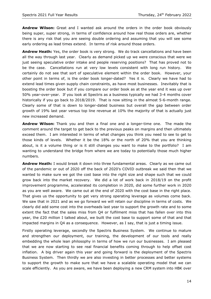**Andrew Wilson:** Great and I wanted ask around the orders in the order book obviously being super, super strong, in terms of confidence around how real those orders are, whether there is any risk that you are seeing double ordering and assuming that you will see some early ordering as lead times extend. In terms of risk around those orders.

**Andrew Heath:** Yes, the order book is very strong. We do track cancellations and have been all the way through last year. Clearly as demand picked up we were conscious that were we just seeing speculative order intake and people reserving positions? That has proved not to be the case. Cancellations run at very low levels consistent with long run history. We certainly do not see that sort of speculative element within the order book. However, your other point in terms of, is the order book longer-dated? Yes it is. Clearly we have had to extend lead times given supply chain constraints, as have most businesses. Inevitably that is boosting the order book but if you compare our order book as at the year end it was up over 50% year-over-year. If you look at Spectris as a business typically we had 3-4 months cover historically if you go back to 2018/2019. That is now sitting in the almost 5-6-month range. Clearly some of that is down to longer-dated business but overall the gap between order growth of 19% last year versus top line revenue at 10% the majority of that is actually just new increased demand.

**Andrew Wilson:** Thank you and then a final one and a longer-time one. The made the comment around the target to get back to the previous peaks on margins and then ultimately exceed them. I am interested in terms of what changes you think you need to see to get to those kinds of levels. Whether it be the 18% or the north of 20% that you are thinking about, is it a volume thing or is it still changes you want to make to the portfolio? I am wanting to understand the bridge from where we are today to potentially those much higher numbers.

**Andrew Heath:** I would break it down into three fundamental areas. Clearly as we came out of the pandemic or out of 2020 off the back of 2020's COVID outbreak we said then that we wanted to make sure we got the cost base into the right size and shape such that we could grow back into the market recovery. We did a lot of work back in 2018/19 on the profit improvement programme, accelerated its completion in 2020, did some further work in 2020 as you are well aware. We came out at the end of 2020 with the cost base in the right place. That gives us the opportunity to get very strong operating leverage as volumes come back. We saw that in 2021 and as we go forward we will retain our discipline in terms of costs. We clearly did add some cost into the overheads last year to support the growth rate and to some extent the fact that the sales miss from Q4 or fulfilment miss that has fallen over into this year, the £20 million I talked about, we built the cost base to support some of that and that impacted margins in Q4 as a consequence. However, as I say, that is just a timing issue.

Firstly operating leverage, secondly the Spectris Business System. We continue to mature and strengthen our deployment, our training, the development of our tools and really embedding the whole lean philosophy in terms of how we run our businesses. I am pleased that we are now starting to see real financial benefits coming through to help offset cost inflation. A big driver again this year and going forward is the deployment of the Spectris Business System. Then thirdly we are also investing in better processes and better systems to support the growth to make sure that we have a scalable operating model that we can scale efficiently. As you are aware, we have been deploying a new CRM system into HBK over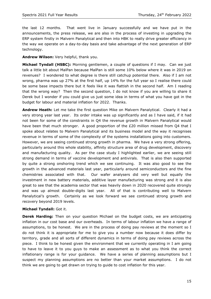the last 12 months. That went live in January successfully and we have put in the announcements, the press release, we are also in the process of investing in upgrading the ERP system firstly in Malvern Panalytical and then into HBK to really drive greater efficiency in the way we operate on a day-to-day basis and take advantage of the next generation of ERP technology.

#### **Andrew Wilson:** Very helpful, thank you.

**Michael Tyndall (HSBC):** Morning gentlemen, a couple of questions if I may. Can we just talk a little bit about MalPan because MalPan is still some 10% below where it was in 2019 on revenues? I wondered to what degree is there still catchup potential there. Also if I am not wrong, pharma was up 27% at the first half, up 14% for the full year so I realise there could be some base impacts there but it feels like it was flattish in the second half. Am I reading that the wrong way? Then the second question, I do not know if you are willing to share it Derek but I wonder if you could give us just some idea in terms of what you have got in the budget for labour and material inflation for 2022. Thanks.

**Andrew Heath:** Let me take the first question Mike on Malvern Panalytical. Clearly it had a very strong year last year. Its order intake was up significantly and as I have said, if it had not been for some of the constraints in Q4 the revenue growth in Malvern Panalytical would have been that much stronger. A good proportion of the £20 million missed from Q4 that I spoke about relates to Malvern Panalytical and its business model and the way it recognises revenue in terms of some of the complexity of the systems installations going into customers. However, we are seeing continued strong growth in pharma. We have a very strong offering, particularly around this whole stability, affinity structure area of drug development, discovery and manufacturing quality. As per the case study I highlighted earlier, we are seeing still strong demand in terms of vaccine development and antivirals. That is also then supported by quite a strong onshoring trend which we see continuing. It was also good to see the growth in the advanced materials last year, particularly around semiconductors and the fine chemistries associated with that. Our wafer analysers did very well but equally the investment in new battery materials, additive layer manufacturing was strong and it is also great to see that the academia sector that was heavily down in 2020 recovered quite strongly and was up almost double-digits last year. All of that is contributing well to Malvern Panalytical's growth. Certainly as we look forward we see continued strong growth and recovery beyond 2019 levels.

#### **Michael Tyndall:** Got it.

**Derek Harding:** Then on your question Michael on the budget costs, we are anticipating inflation in our cost base and our overheads. In terms of labour inflation we have a range of assumptions, to be honest. We are in the process of doing pay reviews at the moment so I do not think it is appropriate for me to give you a number now because it does differ by territory, grade and all sorts of different dynamics in terms of doing pay reviews across the piece. I think to be honest given the environment that we currently operating in I am going to have to leave it to you guys to make an assessment as to what you think the correct inflationary range is for your guidance. We have a series of planning assumptions but I suspect my planning assumptions are no better than your market assumptions. I do not think we are going to get drawn on trying to guide to cost inflation for this year.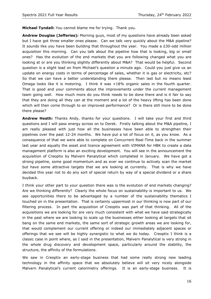**Michael Tyndall:** You cannot blame me for trying. Thank you.

**Andrew Douglas (Jefferies):** Morning guys, most of my questions have already been asked but I have got three smaller ones please. Can we talk very quickly about the M&A pipeline? It sounds like you have been building that throughout the year. You made a  $E30$ -odd million acquisition this morning. Can you talk about the pipeline how that is looking, big or small ones? Has the evolution of the end markets that you are following changed what you are looking at or are you thinking slightly differently about M&A? That would be helpful. Second question is a slight lead on from Michael's question a minute ago. Could you just give us an update on energy costs in terms of percentage of sales, whether it is gas or electricity, etc? So that we can have a better understanding there please. Then last but no means least Omega looks like it is motoring. I think it was +18% organic sales in the fourth quarter. That is good and your comments about the improvements under the current management team going well. How much more do you think needs to be done there and is it fair to say that they are doing all they can at the moment and a lot of the heavy lifting has been done which will then come through to an improved performance? Or is there still more to be done there please?

**Andrew Heath:** Thanks Andy, thanks for your questions. I will take your first and third questions and I will pass energy across on to Derek. Firstly talking about the M&A pipeline, I am really pleased with just how all the businesses have been able to strengthen their pipelines over the past 12-24 months. We have put a lot of focus on it, as you know. As a consequence of that we were able to complete on Concurrent Real-Time back in the summer last year and equally the asset and licence agreement with VIMANA for HBK to create a data management platform is also an exciting development. You will see in the announcement the acquisition of Creoptix by Malvern Panalytical which completed in January. We have got a strong pipeline, some good momentum and as ever we continue to actively scan the market but have some attractive targets that we are looking at currently. That is why we have decided this year not to do any sort of special return by way of a special dividend or a share buyback.

I think your other part to your question there was is the evolution of end markets changing? Are we thinking differently? Clearly the whole focus on sustainability is important to us. We see opportunities there to be advantaged by a number of the sustainability thematics I touched on in the presentation. That is certainly uppermost in our thinking is now part of our filtering process. In part the acquisition of Creoptix was part of that thinking. All of the acquisitions we are looking for are very much consistent with what we have said strategically in the past where we are looking to scale up the businesses either looking at targets that sit bang on the same end markets, the same sort of strategic growth areas we are looking for, that would complement our current offering or indeed our immediately adjacent spaces or offerings that we see will be highly synergistic to what we do today. Creoptix I think is a classic case in point where, as I said in the presentation, Malvern Panalytical is very strong in the whole drug discovery and development space, particularly around the stability, the structure, the affinity of the formulations.

We saw in Creoptix an early-stage business that had some really strong new leading technology in the affinity space that we absolutely believe will sit very nicely alongside Malvern Panalytical's current calorimetry offerings. It is an early-stage business. It is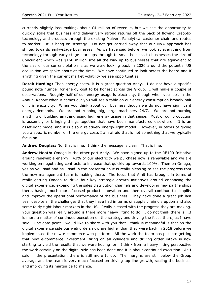currently slightly loss making, about £4 million of revenue, but we see the opportunity to quickly scale that business and deliver very strong returns off the back of flowing Creoptix technology and products through the existing Malvern Panalytical customer chain and routes to market. It is bang on strategy. Do not get carried away that our M&A approach has shifted towards early-stage businesses. As we have said before, we look at everything from technology through early-stage start-ups through to small bolt-ons to businesses the size of Concurrent which was \$160 million size all the way up to businesses that are equivalent to the size of our current platforms as we were looking back in 2020 around the potential US acquisition we spoke about at the time. We have continued to look across the board and if anything given the current market volatility we see opportunities.

**Derek Harding:** Then energy costs, it is a great question Andy. I do not have a specific pound note number for energy cost to be honest across the Group. I will make a couple of observations. Roughly half of our energy usage is electricity, though when you look in the Annual Report when it comes out you will see a table on our energy consumption broadly half of it is electricity. When you think about our business though we do not have significant energy demands. We are not running big, large machinery 24/7. We are not burning anything or building anything using high energy usage in that sense. Most of our production is assembly or bringing things together that have been manufactured elsewhere. It is an asset-light model and it is also a relatively energy-light model. However, in terms of giving you a specific number on the energy costs I am afraid that is not something that we typically focus on.

**Andrew Douglas:** No, that is fine. I think the message is clear. That is fine.

**Andrew Heath:** Omega is the other part Andy. We have signed up to the RE100 Initiative around renewable energy. 43% of our electricity we purchase now is renewable and we are working on negotiating contracts to increase that quickly up towards 100%. Then on Omega, yes as you said and as I said in the presentation it is really pleasing to see the progress that the new management team is making there. The focus that Amit has brought in terms of really getting Omega to drive four key strategic growth initiatives around enhancing the digital experience, expanding the sales distribution channels and developing new partnerships there, having much more focused product innovation and then overall continue to simplify and improve the operational performance of the business. They have done a great job last year despite all the challenges that they have had in terms of supply chain disruption and also some fairly tight labour markets in the US. Really pleased with the progress they are making. Your question was really around is there more heavy lifting to do. I do not think there is. It is more a matter of continued execution on the strategy and driving the focus there, as I have said. One data point I would like to share with you that I think is meaningful is that on the digital experience side our web orders now are higher than they were back in 2018 before we implemented the new e-commerce web platform. All the work the team has put into getting that new e-commerce investment, firing on all cylinders and driving order intake is now starting to yield the results that we were hoping for. I think from a heavy lifting perspective the work certainly on the digital side has been done and it is about continued execution. As I said in the presentation, there is still more to do. The margins are still below the Group average and the team is very much focused on driving top line growth, scaling the business and improving its margin performance.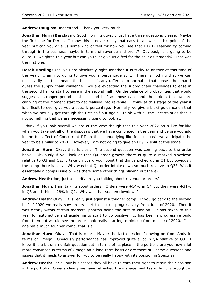**Andrew Douglas:** Understood. Thank you very much.

**Jonathan Hurn (Barclays):** Good morning guys, I just have three questions please. Maybe the first one for Derek. I know this is never really that easy to answer at this point of the year but can you give us some kind of feel for how you see that H1/H2 seasonality coming through in the business maybe in terms of revenue and profit? Obviously it is going to be quite H2 weighted this year but can you just give us a feel for the split as it stands? That was the first one.

**Derek Harding:** Yes, you are absolutely right Jonathan it is tricky to answer at this time of the year. I am not going to give you a percentage split. There is nothing that we can necessarily see that means the business is any different to normal in that sense other than I guess the supply chain challenge. We are expecting the supply chain challenges to ease in the second half or start to ease in the second half. On the balance of probabilities that would suggest a stronger period in the second half as those ease and the orders that we are carrying at the moment start to get realised into revenue. I think at this stage of the year it is difficult to ever give you a specific percentage. Normally we give a bit of guidance on that when we actually get through the first half but again I think with all the uncertainties that is not something that we are necessarily going to look at.

I think if you look overall we are of the view though that this year 2022 on a like-for-like when you take out all of the disposals that we have completed in the year and before you add in the full affect of Concurrent RT on those underlying like-for-like basis we anticipate the year to be similar to 2021. However, I am not going to give an H1/H2 split at this stage.

Jonathan Hurn: Okay, that is clear. The second question was coming back to the order book. Obviously if you look at that Q4 order growth there is quite a marked slowdown relative to Q3 and Q2. I take on board your point that things picked up in Q1 but obviously the comp there is easy. Why was that Q4 order intake down so much relative to Q3? Was it essentially a comps issue or was there some other things playing out there?

**Andrew Heath:** Jon, just to clarify are you talking about revenue or orders?

**Jonathan Hurn:** I am talking about orders. Orders were +14% in Q4 but they were +31% in Q3 and I think +28% in Q2. Why was that sudden slowdown?

**Andrew Heath:** Okay. It is really just against a tougher comp. If you go back to the second half of 2020 we really saw orders start to pick up progressively from June of 2020. Then it was clearly within certain markets, pharma being the first to kick off. It has taken to this year for automotive and academia to start to go positive. It has been a progressive build from then but we did see the order book really starting to pick up from middle of 2020. It is against a much tougher comp, that is all.

**Jonathan Hurn:** Okay. That is clear. Maybe the last question following on from Andy in terms of Omega. Obviously performance has improved quite a lot in Q4 relative to Q3. I know it is a bit of an unfair question but in terms of its place in the portfolio are you now a lot more convinced in terms of Omega on a long-term basis or are there still some questions and issues that it needs to answer for you to be really happy with its position in Spectris?

**Andrew Heath:** For all our businesses they all have to earn their right to retain their position in the portfolio. Omega clearly we have refreshed the management team, Amit is brought in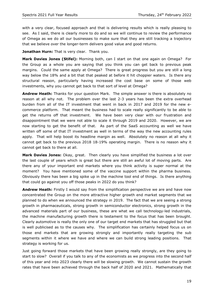with a very clear, focused approach and that is delivering results which is really pleasing to see. As I said, there is clearly more to do and so we will continue to review the performance of Omega as we do all our businesses to make sure that they are still tracking a trajectory that we believe over the longer-term delivers good value and good returns.

**Jonathan Hurn:** That is very clear. Thank you.

**Mark Davies Jones (Stifel):** Morning both, can I start on that one again on Omega? For the Group as a whole you are saying that you think you can get back to previous peak margins. Could the same apply at Omega? There is great progress but you are still a long way below the 18% and a bit that that peaked at before it hit choppier waters. Is there any structural reason, particularly having increased the cost base on some of those web investments, why you cannot get back to that sort of level at Omega?

**Andrew Heath:** Thanks for your question Mark. The simple answer is there is absolutely no reason at all why not. The problem over the last 2-3 years has been the extra overhead burden from all of the IT investment that went in back in 2017 and 2019 for the new ecommerce platform. That meant the business had to scale really significantly to be able to get the returns off that investment. We have been very clear with our frustration and disappointment that we were not able to scale it through 2019 and 2020. However, we are now starting to get the benefit of that. As part of the SaaS accounting as well we have written off some of that IT investment as well in terms of the way the new accounting rules apply. That will help boost its headline margin as well. Absolutely no reason at all why it cannot get back to the previous 2018 18-19% operating margin. There is no reason why it cannot get back to there at all.

**Mark Davies Jones:** Okay, great. Then clearly you have simplified the business a lot over the last couple of years which is great but there are still an awful lot of moving parts. Are there any of your important end markets where you think activity is super normal at the moment? You have mentioned some of the vaccine support within the pharma business. Obviously there has been a big spike up in the machine tool end of things. Is there anything that could go against you off those peaks in 2022 do you think?

**Andrew Heath:** Firstly I would say from the simplification perspective we are and have now concentrated the Group on the more attractive higher growth end market segments that we planned to do when we announced the strategy in 2019. The fact that we are seeing a strong growth in pharmaceuticals, strong growth in semiconductor electronics, strong growth in the advanced materials part of our business, these are what we call technology-led industrials, the machine manufacturing growth there is testament to the focus that has been brought. Clearly automotive is really the only one of our target end markets that has struggled but that is well publicised as to the causes why. The simplification has certainly helped focus us on those end markets that are growing strongly and importantly really targeting the sub segments within it where we have and where we can build strong leading positions. That strategy is working for us.

Just going forward those markets that have been growing really strongly, are they going to start to slow? Overall if you talk to any of the economists as we progress into the second half of this year and into 2023 clearly there will be slowing growth. We cannot sustain the growth rates that have been achieved through the back half of 2020 and 2021. Mathematically that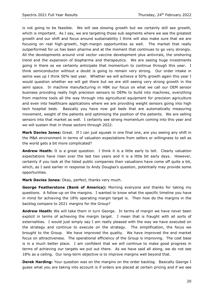is not going to be feasible. We will see slowing growth but we certainly still see growth, which is important. As I say, we are targeting those sub segments where we see the greatest growth and our shift and focus around sustainability I think will also make sure that we are focusing on real high-growth, high-margin opportunities as well. The market that really outperformed for us has been pharma and at the moment that continues to go very strongly. All the developments around viral vector vaccine development plus antivirals, the onshoring trend and the expansion of biopharma and therapeutics. We are seeing huge investments going in there so we certainly anticipate that momentum to continue through this year. I think semiconductor without a doubt is going to remain very strong. Our order intake in semis was up I think 50% last year. Whether we will achieve a 50% growth again this year I would question whether we will get there but we are still seeing very strong growth in the semi space. In machine manufacturing in HBK our focus on what we call our OEM sensor business providing really high precision sensors to OEMs to build into machines, everything from machine tools all the way through into agricultural equipment for precision agriculture and even into healthcare applications where we are providing weight sensors going into high tech hospital beds. Basically you have now got beds that are automatically measuring movement, weight of the patients and optimising the position of the patients. We are selling sensors into that market as well. I certainly see strong momentum coming into this year and we will sustain that in those sectors through 2022.

**Mark Davies Jones:** Great. If I can just squeak in one final one, are you seeing any shift in the M&A environment in terms of valuation expectations from sellers or willingness to sell as the world gets a bit more complicated?

**Andrew Heath:** It is a great question. I think it is a little early to tell. Clearly valuation expectations have risen over the last two years and it is a little bit early days. However, certainly if you look at the listed public companies then valuations have come off quite a bit, which, as I said earlier in response to Andy Douglas's question, potentially may provide some opportunities.

**Mark Davies Jones:** Okay, perfect, thanks very much.

**George Featherstone (Bank of America):** Morning everyone and thanks for taking my questions. A follow-up on the margins. I wanted to know what the specific timeline you have in mind for achieving the 18% operating margin target is. Then how do the margins in the backlog compare to 2021 margins for the Group?

**Andrew Heath:** We will take them in turn George. In terms of margin we have never been explicit in terms of achieving the margin target. I mean that is fraught with all sorts of externalities. I would just simply say I am really pleased with the way we have executed on the strategy and continue to execute on the strategy. The simplification, the focus we brought to the Group. We have improved the quality. We have improved the end market focus on attractiveness. The operational efficiency of the Group is improving. The cost base is in a much better place. I am confident that we will continue to make good progress in terms of achieving our targets we put out there. As we have said all along, we do not see 18% as a ceiling. Our long-term objective is to improve margins well beyond that.

**Derek Harding:** Your question was on the margins on the order backlog. Basically George I guess what you are taking into account is if orders are placed at certain pricing and if we see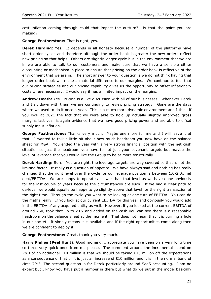cost inflation coming through could that impact the outturn? Is that the point you are making?

**George Featherstone:** That is right, yes.

**Derek Harding:** Yes. It depends in all honesty because a number of the platforms have short order cycles and therefore although the order book is greater the new orders reflect new pricing so that helps. Others are slightly longer-cycle but in the environment that we are in we are able to talk to our customers and make sure that we have a sensible either discounting or mechanism in place to ensure that pricing on the order book is reflective of the environment that we are in. The short answer to your question is we do not think having that longer order book will make a material difference to our margins. We continue to feel that our pricing strategies and our pricing capability gives us the opportunity to offset inflationary costs where necessary. I would say it has a limited impact on the margins.

**Andrew Heath:** Yes. Pricing is a live discussion with all of our businesses. Whenever Derek and I sit down with them we are continuing to review pricing strategy. Gone are the days where we used to do it once a year. This is a much more dynamic environment and I think if you look at 2021 the fact that we were able to hold up actually slightly improved gross margins last year is again evidence that we have good pricing power and are able to offset supply input inflation.

**George Featherstone:** Thanks very much. Maybe one more for me and I will leave it at that. I wanted to talk a little bit about how much headroom you now have on the balance sheet for M&A. You ended the year with a very strong financial position with the net cash situation so just the headroom you have to not just your covenant targets but maybe the level of leverage that you would like the Group to be at more structurally.

**Derek Harding:** Sure. You are right, the leverage targets are way covered so that is not the limiting factor. It really is a question of appetite. We have always said and nothing has really changed that the right level over the cycle for our leverage position is between 1.0-2.0x net debt/EBITDA. We are happy to operate at lower than that level as we have done obviously for the last couple of years because the circumstances are such. If we had a clear path to de-lever we would equally be happy to go slightly above that level for the right transaction at the right time. Through the cycle you want to be looking at one turn of EBITDA. You can do the maths really. If you look at our current EBITDA for this year and obviously you would add in the EBITDA of any acquired entity as well. However, if you looked at the current EBITDA of around 250, took that up to 2.0x and added on the cash you can see there is a reasonable headroom on the balance sheet at the moment. That does not mean that it is burning a hole in our pocket. It simply means it is available and if the right opportunities come along then we are confident to deploy it.

**George Featherstone:** Great, thank you very much.

**Harry Philips (Peel Hunt):** Good morning, I appreciate you have been on a very long time so three very quick ones from me please. The comment around the incremental spend on R&D of an additional £10 million is that we should be taking £10 million off the expectations as a consequence of that or it is just an increase of  $£10$  million and it is in the normal band of circa 7%? The second question is for Derek particularly around SaaS accounting. I am no expert but I know you have put a number in there but what do we put in the model basically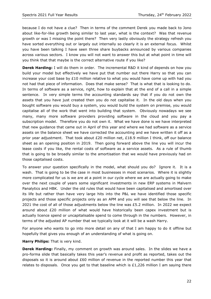because I do not have a clue? Then in terms of the comment Derek you made back to Jono about like-for-like growth being similar to last year, what is the context? Was that revenue growth or was I missing the point there? Then very lastly obviously the strategy refresh you have sorted everything out or largely out internally so clearly it is an external focus. Whilst you have been talking I have seen three share buybacks announced by various companies across various sectors. I know you will not want to answer this but at what point in time will you think that that maybe is the correct alternative route if you like?

**Derek Harding:** I will do them in order. The incremental R&D it kind of depends on how you build your model but effectively we have put that number out there Harry so that you can increase your cost base by  $£10$  million relative to what you would have come up with had you not had that piece of information. Does that make sense? That is what that is looking to do. In terms of software as a service, right, how to explain that at the end of a call in a simple sentence. In very simple terms the accounting standards say that if you do not own the assets that you have just created then you do not capitalise it. In the old days when you bought software you would buy a system, you would build the system on premise, you would capitalise all of the work that went into building that system. Obviously nowadays we see many, many more software providers providing software in the cloud and you pay a subscription model. Therefore you do not own it. What we have done is we have interpreted that new guidance that came out in April of this year and where we had software as a service assets on the balance sheet we have corrected the accounting and we have written it off as a prior year adjustment. That took about £20 million net, £18.9 million I think, off our balance sheet as an opening position in 2019. Then going forward above the line you will incur the lease costs if you like, the rental costs of software as a service assets. As a rule of thumb that is going to be broadly similar to the amortisation that we would have previously had on those capitalised costs.

To answer your question specifically in the model, what should you do? Ignore it. It is a wash. That is going to be the case in most businesses in most scenarios. Where it is slightly more complicated for us is we are at a point in our cycle where we are actually going to make over the next couple of years some significant investments in new ERP systems in Malvern Panalytics and HBK. Under the old rules that would have been capitalised and amortised over its life but rather than have very large hits into the P&L we have identified those specific projects and those specific projects only as an APM and you will see that below the line. In 2021 the cost of all of those adjustments below the line was £5.2 million. In 2022 we expect around about  $E20$  million of what would have historically been capex investment but is actually licence spend or uncapitalisable spend to come through in the numbers. However, in terms of the adjusted AP number that we typically look at it will be a wash Harry.

For anyone who wants to go into more detail on any of that I am happy to do it offline but hopefully that gives you enough of an understanding of what is going on.

**Harry Philips:** That is very kind.

**Derek Harding:** Finally, my comment on growth was around sales. In the slides we have a pro-forma slide that basically takes this year's revenue and profit as reported, takes out the disposals so it is around about  $£60$  million of revenue in the reported number this year that relates to disposals. Once you get to that baseline which is  $£1,226$  million I am saying there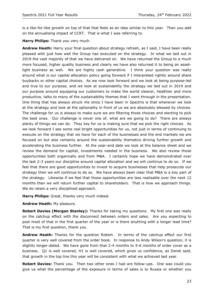is a like-for-like growth on top of that that feels as an idea similar to this year. Then you add on the annualising impact of CCRT. That is what I was referring to.

**Harry Philips:** Thank you very much.

**Andrew Heath:** Harry your final question about strategy refresh, as I said, I have been really pleased with just how well the Group has executed on the strategy. In what we laid out in 2019 the vast majority of that we have delivered on. We have returned the Group to a much more focused, higher quality business and clearly we have also returned it to being an assetlight business as well. We are highly cash generative. I think your question was really around what is our capital allocation policy going forward if I interpreted rightly around share buybacks or other capital choices. As we now look forward and we look at being purpose-led and true to our purpose, and we look at sustainability the strategy we laid out in 2019 and our purpose around equipping our customers to make the world cleaner, healthier and more productive, talks to many of the sustainability themes that I went through in the presentation. One thing that has always struck me since I have been in Spectris is that whenever we look at the strategy and look at the optionality in front of us we are absolutely blessed by choices. The challenge for us is always to make sure we are filtering those choices and electing to pick the best ones. Our challenge is never one of, what are we going to do? There are always plenty of things we can do. They key for us is making sure that we pick the right choices. As we look forward I see some real bright opportunities for us, not just in terms of continuing to execute on the strategy that we have for each of the businesses and the end markets we are focused on but also certainly around the sustainability thematics driving further growth and accelerating the business further. At the year-end date we look at the balance sheet and we review the demand for capital, investments needed in the business. We also review those opportunities both organically and from M&A. I certainly hope we have demonstrated over the last 2-3 years our discipline around capital allocation and we will continue to do so. If we feel that there are good opportunities to invest to acquire businesses that help prosecute our strategy then we will continue to do so. We have always been clear that M&A is a key part of the strategy. Likewise if we feel that those opportunities are less realisable over the next 12 months then we will return further capital to shareholders. That is how we approach things. We do retain a very disciplined approach.

**Harry Philips:** Great, thanks very much indeed.

**Andrew Heath:** My pleasure.

**Robert Davies (Morgan Stanley):** Thanks for taking my questions. My first one was really on the catchup effect with the disconnect between orders and sales. Are you expecting to post most of that in the first quarter of the year or is there anything with a longer lead time? That is my first question, thank you.

**Andrew Heath:** Thanks for the question Robert. In terms of the catchup effect our first quarter is very well covered from the order book. In response to Andy Wilson's question, it is slightly longer-dated. We have gone from that 2-4 months to 5-6 months of order cover as a business. Q1 is well covered, H1 is well covered, which gives us confidence, as Derek said, that growth in the top line this year will be consistent with what we achieved last year.

**Robert Davies:** Thank you. Then two other ones I had are follow-ups. One was could you give us what the percentage of the exposure in terms of sales is to Russia or whether you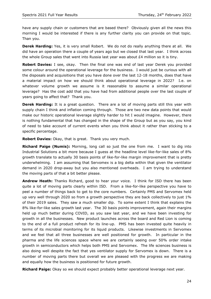have any supply chain or customers that are based there? Obviously given all the news this morning I would be interested if there is any further clarity you can provide on that topic. Than you.

**Derek Harding:** Yes, it is very small Robert. We do not do really anything there at all. We did have an operation there a couple of years ago but we closed that last year. I think across the whole Group sales that went into Russia last year was about £4 million so it is tiny.

**Robert Davies:** I see, okay. Then the final one was end of last year Derek you provided some colour around the operational leverage for the business. I would just be curious with all the disposals and acquisitions that you have done over the last 12-18 months, does that have a material impact on how we should think about operational leverage in 2022? I.e. on whatever volume growth we assume is it reasonable to assume a similar operational leverage? Has the cost add that you have had from additional people over the last couple of years going to affect that? Thank you.

**Derek Harding:** It is a great question. There are a lot of moving parts still this year with supply chain I think and inflation coming through. Those are two new data points that would make our historic operational leverage slightly harder to hit I would imagine. However, there is nothing fundamental that has changed in the shape of the Group but as you say, you kind of need to take account of current events when you think about it rather than sticking to a specific percentage.

**Robert Davies:** Okay, that is great. Thank you very much.

**Richard Paige (Numis):** Morning, long call so just the one from me. I want to dig into Industrial Solutions a bit more because I guess at the headline level like-for-like sales of 8% growth translate to actually 30 basis points of like-for-like margin improvement that is pretty underwhelming. I am assuming that Servomex is a big delta within that given the ventilator demand in 2020 drop-away but you also mentioned overheads. I am trying to understand the moving parts of that a bit better please.

**Andrew Heath:** Thanks Richard, good to hear your voice. I think for ISD there has been quite a lot of moving parts clearly within ISD. From a like-for-like perspective you have to peel a number of things back to get to the core numbers. Certainly PMS and Servomex held up very well through 2020 so from a growth perspective they are back collectively to just  $1\%$ of their 2019 sales. They saw a much smaller dip. To some extent I think that explains the 8% like-for-like sales growth last year. The 30 basis points improvement, again their margins held up much better during COVID, as you saw last year, and we have been investing for growth in all the businesses. New product launches across the board and Red Lion is coming to the end of a full product refresh for its line-up. PMS has been invested quite heavily in terms of its microbial monitoring for its liquid products. Likewise investments in Servomex and we feel that all three businesses are well positioned for growth. In particular in the pharma and the life sciences space where we are certainly seeing over 50% order intake growth in semiconductors which helps both PMS and Servomex. The life sciences business is also doing well despite the fact that yes ventilator supply for Servomex is down. There is a number of moving parts there but overall we are pleased with the progress we are making and equally how the business is positioned for future growth.

**Richard Paige:** Okay so we should expect probably better operational leverage next year.